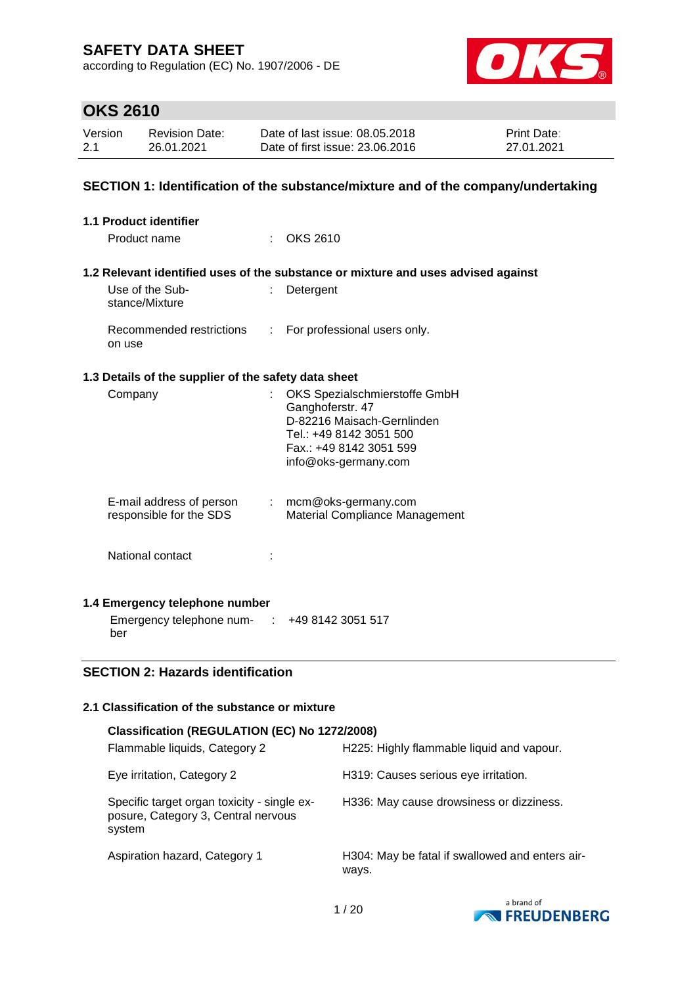according to Regulation (EC) No. 1907/2006 - DE



# **OKS 2610**

| Version | <b>Revision Date:</b> | Date of last issue: 08.05.2018  | <b>Print Date:</b> |
|---------|-----------------------|---------------------------------|--------------------|
| 2.1     | 26.01.2021            | Date of first issue: 23,06,2016 | 27.01.2021         |

### **SECTION 1: Identification of the substance/mixture and of the company/undertaking**

| 1.1 Product identifier                               |    |                                                                                                                                                               |
|------------------------------------------------------|----|---------------------------------------------------------------------------------------------------------------------------------------------------------------|
| Product name                                         |    | OKS 2610                                                                                                                                                      |
|                                                      |    |                                                                                                                                                               |
|                                                      |    | 1.2 Relevant identified uses of the substance or mixture and uses advised against                                                                             |
| Use of the Sub-<br>stance/Mixture                    | ÷. | Detergent                                                                                                                                                     |
| Recommended restrictions<br>on use                   | t. | For professional users only.                                                                                                                                  |
| 1.3 Details of the supplier of the safety data sheet |    |                                                                                                                                                               |
| Company                                              | ÷  | OKS Spezialschmierstoffe GmbH<br>Ganghoferstr. 47<br>D-82216 Maisach-Gernlinden<br>Tel.: +49 8142 3051 500<br>Fax.: +49 8142 3051 599<br>info@oks-germany.com |
| E-mail address of person<br>responsible for the SDS  |    | $:$ mcm@oks-germany.com<br><b>Material Compliance Management</b>                                                                                              |
| National contact                                     |    |                                                                                                                                                               |
| 1.4 Emergency telephone number                       |    |                                                                                                                                                               |
| Emergency telephone num-                             |    | +49 8142 3051 517                                                                                                                                             |

## **SECTION 2: Hazards identification**

ber

#### **2.1 Classification of the substance or mixture**

| Classification (REGULATION (EC) No 1272/2008)                                                |                                                          |
|----------------------------------------------------------------------------------------------|----------------------------------------------------------|
| Flammable liquids, Category 2                                                                | H225: Highly flammable liquid and vapour.                |
| Eye irritation, Category 2                                                                   | H319: Causes serious eye irritation.                     |
| Specific target organ toxicity - single ex-<br>posure, Category 3, Central nervous<br>system | H336: May cause drowsiness or dizziness.                 |
| Aspiration hazard, Category 1                                                                | H304: May be fatal if swallowed and enters air-<br>ways. |

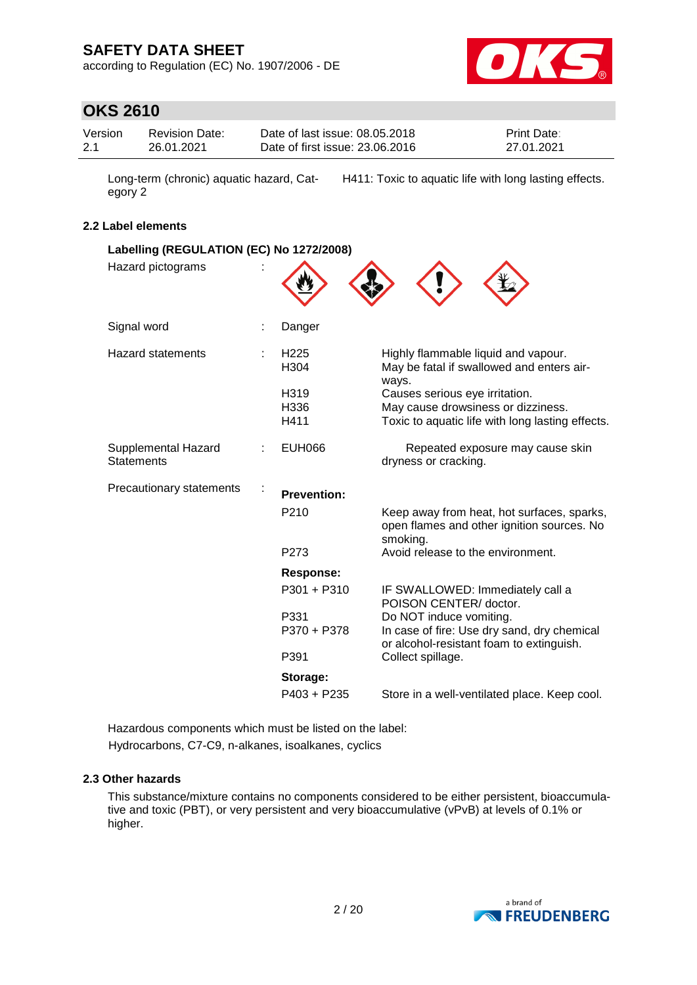according to Regulation (EC) No. 1907/2006 - DE



## **OKS 2610**

| Version | <b>Revision Date:</b> | Date of last issue: 08.05.2018  | <b>Print Date:</b> |
|---------|-----------------------|---------------------------------|--------------------|
| 2.1     | 26.01.2021            | Date of first issue: 23,06,2016 | 27.01.2021         |

Long-term (chronic) aquatic hazard, Category 2 H411: Toxic to aquatic life with long lasting effects.

### **2.2 Label elements**

| Labelling (REGULATION (EC) No 1272/2008)<br>Hazard pictograms |   |                                      |                                                                                                                    |
|---------------------------------------------------------------|---|--------------------------------------|--------------------------------------------------------------------------------------------------------------------|
| Signal word                                                   | ÷ | Danger                               |                                                                                                                    |
| <b>Hazard statements</b>                                      |   | H <sub>225</sub><br>H <sub>304</sub> | Highly flammable liquid and vapour.<br>May be fatal if swallowed and enters air-<br>ways.                          |
|                                                               |   | H319                                 | Causes serious eye irritation.                                                                                     |
|                                                               |   | H336                                 | May cause drowsiness or dizziness.                                                                                 |
|                                                               |   | H411                                 | Toxic to aquatic life with long lasting effects.                                                                   |
| Supplemental Hazard<br><b>Statements</b>                      |   | <b>EUH066</b>                        | Repeated exposure may cause skin<br>dryness or cracking.                                                           |
| <b>Precautionary statements</b>                               |   | <b>Prevention:</b>                   |                                                                                                                    |
|                                                               |   | P <sub>210</sub>                     | Keep away from heat, hot surfaces, sparks,<br>open flames and other ignition sources. No<br>smoking.               |
|                                                               |   | P <sub>273</sub>                     | Avoid release to the environment.                                                                                  |
|                                                               |   | <b>Response:</b>                     |                                                                                                                    |
|                                                               |   | P301 + P310                          | IF SWALLOWED: Immediately call a<br>POISON CENTER/ doctor.                                                         |
|                                                               |   | P331<br>P370 + P378                  | Do NOT induce vomiting.<br>In case of fire: Use dry sand, dry chemical<br>or alcohol-resistant foam to extinguish. |
|                                                               |   | P391                                 | Collect spillage.                                                                                                  |
|                                                               |   | Storage:                             |                                                                                                                    |
|                                                               |   | $P403 + P235$                        | Store in a well-ventilated place. Keep cool.                                                                       |

Hazardous components which must be listed on the label: Hydrocarbons, C7-C9, n-alkanes, isoalkanes, cyclics

#### **2.3 Other hazards**

This substance/mixture contains no components considered to be either persistent, bioaccumulative and toxic (PBT), or very persistent and very bioaccumulative (vPvB) at levels of 0.1% or higher.

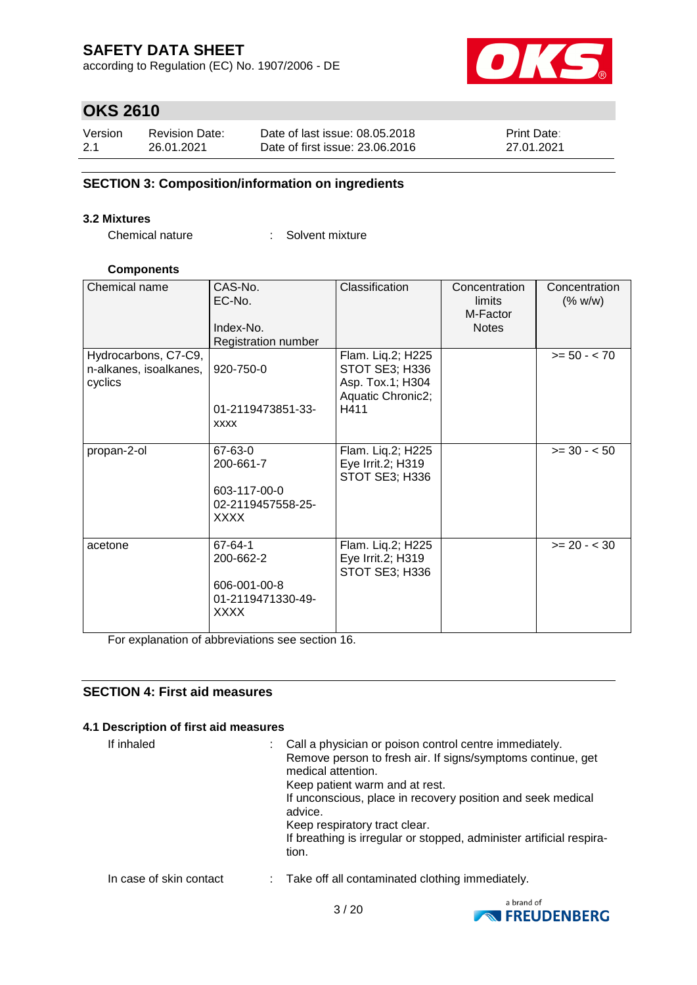according to Regulation (EC) No. 1907/2006 - DE



# **OKS 2610**

| Version | <b>Revision Date:</b> | Date of last issue: 08.05.2018  | <b>Print Date:</b> |
|---------|-----------------------|---------------------------------|--------------------|
| 2.1     | 26.01.2021            | Date of first issue: 23,06,2016 | 27.01.2021         |

## **SECTION 3: Composition/information on ingredients**

#### **3.2 Mixtures**

Chemical nature : Solvent mixture

#### **Components**

| Chemical name                                             | CAS-No.<br>EC-No.<br>Index-No.<br>Registration number                    | Classification                                                                       | Concentration<br>limits<br>M-Factor<br><b>Notes</b> | Concentration<br>(% w/w) |
|-----------------------------------------------------------|--------------------------------------------------------------------------|--------------------------------------------------------------------------------------|-----------------------------------------------------|--------------------------|
| Hydrocarbons, C7-C9,<br>n-alkanes, isoalkanes,<br>cyclics | 920-750-0<br>01-2119473851-33-<br><b>XXXX</b>                            | Flam. Liq.2; H225<br>STOT SE3; H336<br>Asp. Tox.1; H304<br>Aquatic Chronic2;<br>H411 |                                                     | $>= 50 - < 70$           |
| propan-2-ol                                               | 67-63-0<br>200-661-7<br>603-117-00-0<br>02-2119457558-25-<br><b>XXXX</b> | Flam. Liq.2; H225<br>Eye Irrit.2; H319<br>STOT SE3; H336                             |                                                     | $>= 30 - 50$             |
| acetone                                                   | 67-64-1<br>200-662-2<br>606-001-00-8<br>01-2119471330-49-<br><b>XXXX</b> | Flam. Liq.2; H225<br>Eye Irrit.2; H319<br>STOT SE3; H336                             |                                                     | $>= 20 - < 30$           |

For explanation of abbreviations see section 16.

### **SECTION 4: First aid measures**

### **4.1 Description of first aid measures**

| If inhaled              | : Call a physician or poison control centre immediately.<br>Remove person to fresh air. If signs/symptoms continue, get<br>medical attention.<br>Keep patient warm and at rest.<br>If unconscious, place in recovery position and seek medical<br>advice.<br>Keep respiratory tract clear.<br>If breathing is irregular or stopped, administer artificial respira-<br>tion. |
|-------------------------|-----------------------------------------------------------------------------------------------------------------------------------------------------------------------------------------------------------------------------------------------------------------------------------------------------------------------------------------------------------------------------|
| In case of skin contact | : Take off all contaminated clothing immediately.                                                                                                                                                                                                                                                                                                                           |

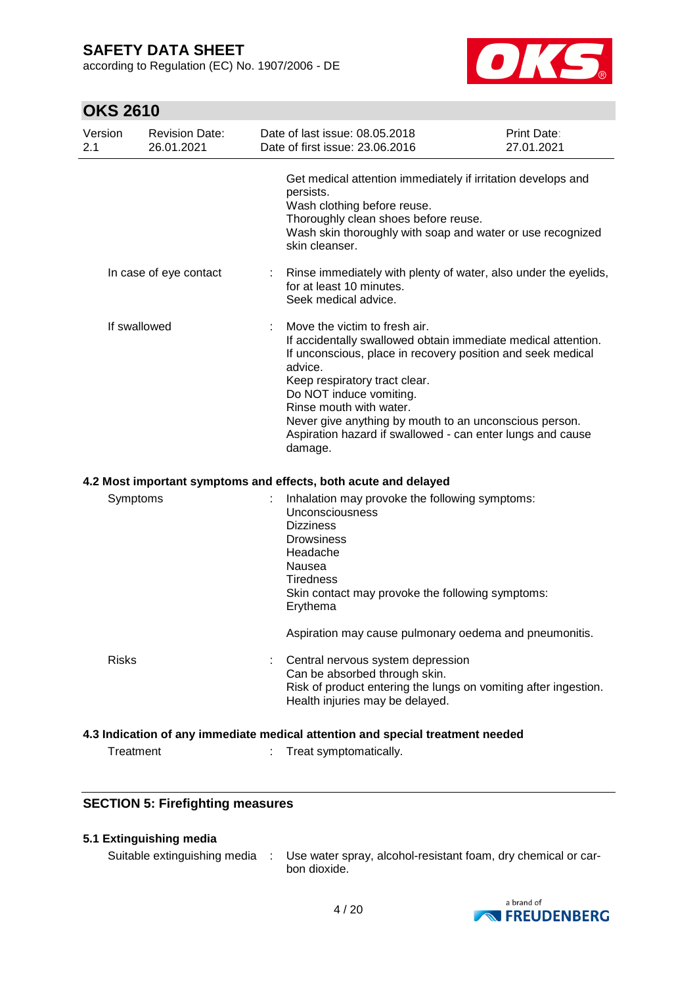according to Regulation (EC) No. 1907/2006 - DE



# **OKS 2610**

| Version<br>2.1 | <b>Revision Date:</b><br>26.01.2021 |   | Date of last issue: 08.05.2018<br>Date of first issue: 23.06.2016                                                                                                                                                                                                                                                                                                                                  | Print Date:<br>27.01.2021 |
|----------------|-------------------------------------|---|----------------------------------------------------------------------------------------------------------------------------------------------------------------------------------------------------------------------------------------------------------------------------------------------------------------------------------------------------------------------------------------------------|---------------------------|
|                |                                     |   | Get medical attention immediately if irritation develops and<br>persists.<br>Wash clothing before reuse.<br>Thoroughly clean shoes before reuse.<br>Wash skin thoroughly with soap and water or use recognized<br>skin cleanser.                                                                                                                                                                   |                           |
|                | In case of eye contact              | ÷ | Rinse immediately with plenty of water, also under the eyelids,<br>for at least 10 minutes.<br>Seek medical advice.                                                                                                                                                                                                                                                                                |                           |
| If swallowed   |                                     |   | Move the victim to fresh air.<br>If accidentally swallowed obtain immediate medical attention.<br>If unconscious, place in recovery position and seek medical<br>advice.<br>Keep respiratory tract clear.<br>Do NOT induce vomiting.<br>Rinse mouth with water.<br>Never give anything by mouth to an unconscious person.<br>Aspiration hazard if swallowed - can enter lungs and cause<br>damage. |                           |
|                |                                     |   | 4.2 Most important symptoms and effects, both acute and delayed                                                                                                                                                                                                                                                                                                                                    |                           |
| Symptoms       |                                     |   | Inhalation may provoke the following symptoms:<br>Unconsciousness<br><b>Dizziness</b><br><b>Drowsiness</b><br>Headache<br>Nausea<br><b>Tiredness</b><br>Skin contact may provoke the following symptoms:<br>Erythema<br>Aspiration may cause pulmonary oedema and pneumonitis.                                                                                                                     |                           |
| <b>Risks</b>   |                                     |   | Central nervous system depression<br>Can be absorbed through skin.<br>Risk of product entering the lungs on vomiting after ingestion.<br>Health injuries may be delayed.                                                                                                                                                                                                                           |                           |
|                |                                     |   | 4.3 Indication of any immediate medical attention and special treatment needed                                                                                                                                                                                                                                                                                                                     |                           |
| Treatment      |                                     |   | Treat symptomatically.                                                                                                                                                                                                                                                                                                                                                                             |                           |

## **SECTION 5: Firefighting measures**

## **5.1 Extinguishing media**

Suitable extinguishing media : Use water spray, alcohol-resistant foam, dry chemical or carbon dioxide.

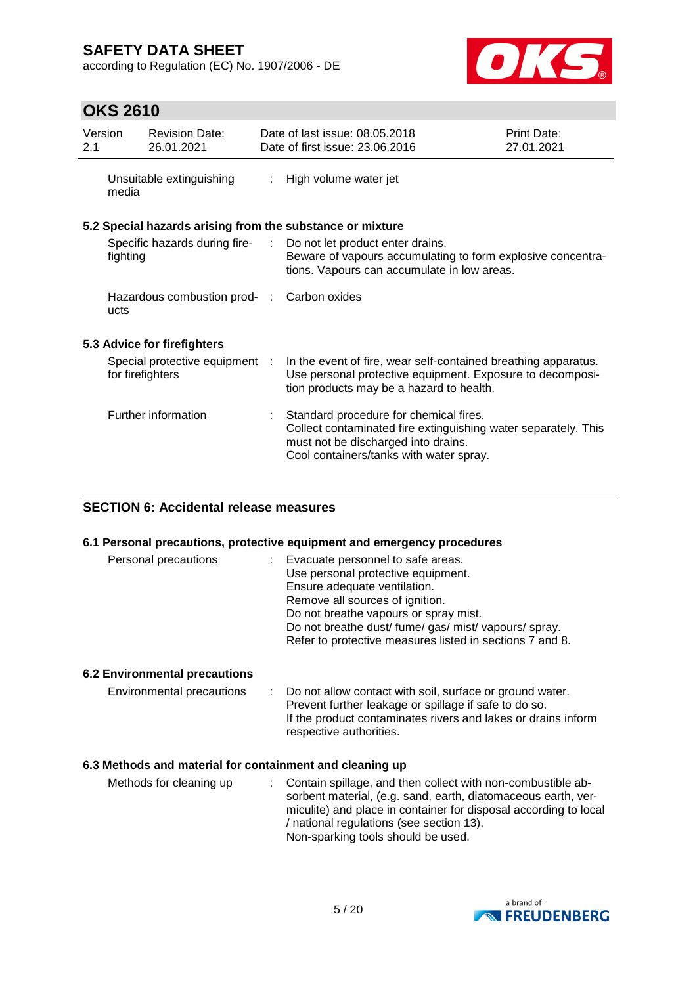according to Regulation (EC) No. 1907/2006 - DE



# **OKS 2610**

| Version<br>2.1 |                  | <b>Revision Date:</b><br>26.01.2021        |                | Date of last issue: 08.05.2018<br>Date of first issue: 23.06.2016                                                                                                                          | Print Date:<br>27.01.2021 |
|----------------|------------------|--------------------------------------------|----------------|--------------------------------------------------------------------------------------------------------------------------------------------------------------------------------------------|---------------------------|
|                | media            | Unsuitable extinguishing                   | $\mathbb{R}^n$ | High volume water jet                                                                                                                                                                      |                           |
|                |                  |                                            |                | 5.2 Special hazards arising from the substance or mixture                                                                                                                                  |                           |
|                | fighting         |                                            |                | Specific hazards during fire- : Do not let product enter drains.<br>Beware of vapours accumulating to form explosive concentra-<br>tions. Vapours can accumulate in low areas.             |                           |
|                | ucts             | Hazardous combustion prod- : Carbon oxides |                |                                                                                                                                                                                            |                           |
|                |                  | 5.3 Advice for firefighters                |                |                                                                                                                                                                                            |                           |
|                | for firefighters | Special protective equipment :             |                | In the event of fire, wear self-contained breathing apparatus.<br>Use personal protective equipment. Exposure to decomposi-<br>tion products may be a hazard to health.                    |                           |
|                |                  | Further information                        |                | Standard procedure for chemical fires.<br>Collect contaminated fire extinguishing water separately. This<br>must not be discharged into drains.<br>Cool containers/tanks with water spray. |                           |

### **SECTION 6: Accidental release measures**

#### **6.1 Personal precautions, protective equipment and emergency procedures**

| Personal precautions | : Evacuate personnel to safe areas.<br>Use personal protective equipment.<br>Ensure adequate ventilation.<br>Remove all sources of ignition.<br>Do not breathe vapours or spray mist.<br>Do not breathe dust/ fume/ gas/ mist/ vapours/ spray. |
|----------------------|------------------------------------------------------------------------------------------------------------------------------------------------------------------------------------------------------------------------------------------------|
|                      | Refer to protective measures listed in sections 7 and 8.                                                                                                                                                                                       |

### **6.2 Environmental precautions**

| Environmental precautions | : Do not allow contact with soil, surface or ground water.<br>Prevent further leakage or spillage if safe to do so.<br>If the product contaminates rivers and lakes or drains inform<br>respective authorities. |
|---------------------------|-----------------------------------------------------------------------------------------------------------------------------------------------------------------------------------------------------------------|
|                           |                                                                                                                                                                                                                 |

### **6.3 Methods and material for containment and cleaning up**

| Methods for cleaning up |  | : Contain spillage, and then collect with non-combustible ab-<br>sorbent material, (e.g. sand, earth, diatomaceous earth, ver-<br>miculite) and place in container for disposal according to local<br>/ national regulations (see section 13).<br>Non-sparking tools should be used. |
|-------------------------|--|--------------------------------------------------------------------------------------------------------------------------------------------------------------------------------------------------------------------------------------------------------------------------------------|
|-------------------------|--|--------------------------------------------------------------------------------------------------------------------------------------------------------------------------------------------------------------------------------------------------------------------------------------|

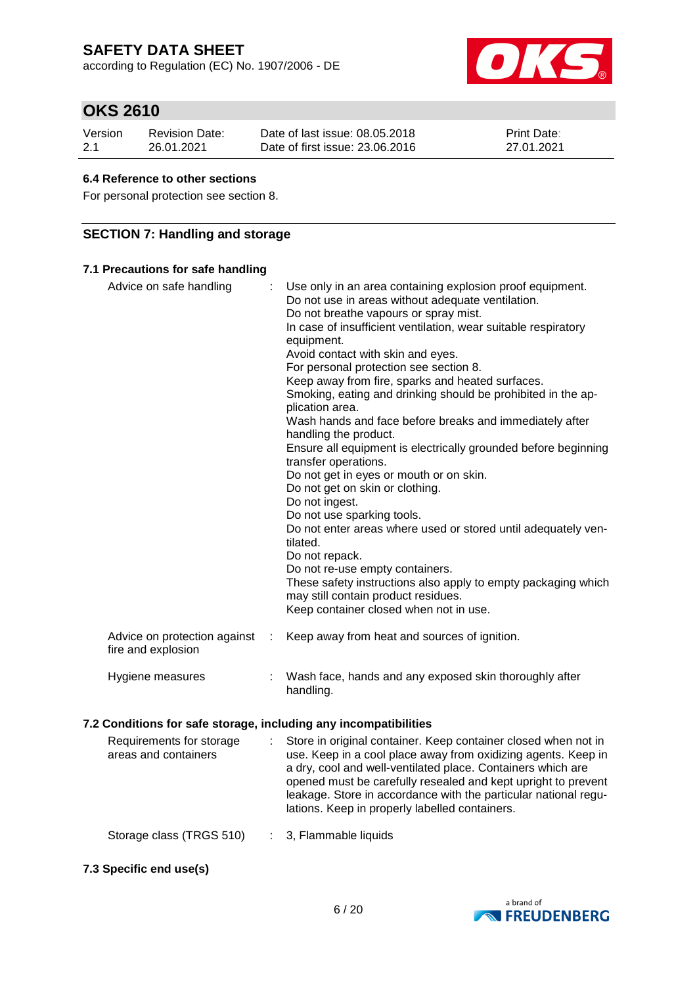according to Regulation (EC) No. 1907/2006 - DE



# **OKS 2610**

| Version | Revision Date: | Date of last issue: 08.05.2018  | <b>Print Date:</b> |
|---------|----------------|---------------------------------|--------------------|
| 2.1     | 26.01.2021     | Date of first issue: 23,06,2016 | 27.01.2021         |

#### **6.4 Reference to other sections**

For personal protection see section 8.

## **SECTION 7: Handling and storage**

### **7.1 Precautions for safe handling**

| Advice on safe handling<br>Advice on protection against          | ÷<br>÷ | Use only in an area containing explosion proof equipment.<br>Do not use in areas without adequate ventilation.<br>Do not breathe vapours or spray mist.<br>In case of insufficient ventilation, wear suitable respiratory<br>equipment.<br>Avoid contact with skin and eyes.<br>For personal protection see section 8.<br>Keep away from fire, sparks and heated surfaces.<br>Smoking, eating and drinking should be prohibited in the ap-<br>plication area.<br>Wash hands and face before breaks and immediately after<br>handling the product.<br>Ensure all equipment is electrically grounded before beginning<br>transfer operations.<br>Do not get in eyes or mouth or on skin.<br>Do not get on skin or clothing.<br>Do not ingest.<br>Do not use sparking tools.<br>Do not enter areas where used or stored until adequately ven-<br>tilated.<br>Do not repack.<br>Do not re-use empty containers.<br>These safety instructions also apply to empty packaging which<br>may still contain product residues.<br>Keep container closed when not in use.<br>Keep away from heat and sources of ignition. |
|------------------------------------------------------------------|--------|---------------------------------------------------------------------------------------------------------------------------------------------------------------------------------------------------------------------------------------------------------------------------------------------------------------------------------------------------------------------------------------------------------------------------------------------------------------------------------------------------------------------------------------------------------------------------------------------------------------------------------------------------------------------------------------------------------------------------------------------------------------------------------------------------------------------------------------------------------------------------------------------------------------------------------------------------------------------------------------------------------------------------------------------------------------------------------------------------------------|
| fire and explosion                                               |        |                                                                                                                                                                                                                                                                                                                                                                                                                                                                                                                                                                                                                                                                                                                                                                                                                                                                                                                                                                                                                                                                                                               |
| Hygiene measures                                                 |        | Wash face, hands and any exposed skin thoroughly after<br>handling.                                                                                                                                                                                                                                                                                                                                                                                                                                                                                                                                                                                                                                                                                                                                                                                                                                                                                                                                                                                                                                           |
| 7.2 Conditions for safe storage, including any incompatibilities |        |                                                                                                                                                                                                                                                                                                                                                                                                                                                                                                                                                                                                                                                                                                                                                                                                                                                                                                                                                                                                                                                                                                               |
|                                                                  |        | Requirements for storage constants in original container. Keep container closed when not in                                                                                                                                                                                                                                                                                                                                                                                                                                                                                                                                                                                                                                                                                                                                                                                                                                                                                                                                                                                                                   |

| Requirements for storage<br>areas and containers | Store in original container. Keep container closed when not in<br>use. Keep in a cool place away from oxidizing agents. Keep in<br>a dry, cool and well-ventilated place. Containers which are<br>opened must be carefully resealed and kept upright to prevent<br>leakage. Store in accordance with the particular national regu-<br>lations. Keep in properly labelled containers. |
|--------------------------------------------------|--------------------------------------------------------------------------------------------------------------------------------------------------------------------------------------------------------------------------------------------------------------------------------------------------------------------------------------------------------------------------------------|
| Storage class (TRGS 510)                         | : 3, Flammable liquids                                                                                                                                                                                                                                                                                                                                                               |

**7.3 Specific end use(s)**

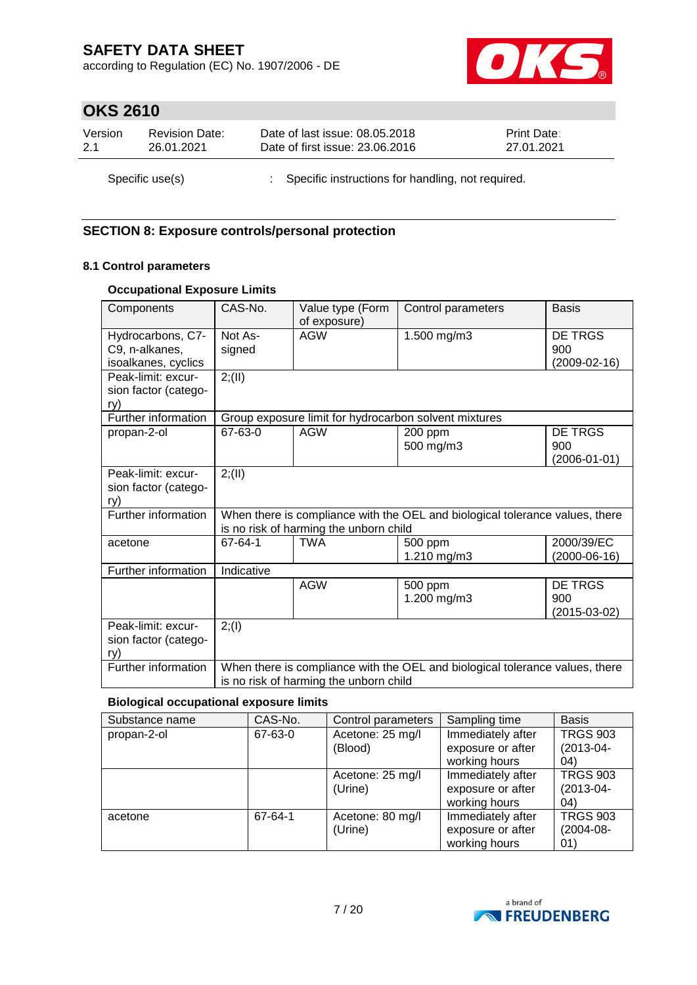according to Regulation (EC) No. 1907/2006 - DE



# **OKS 2610**

| Version         | <b>Revision Date:</b> | Date of last issue: 08.05.2018                      | <b>Print Date:</b> |
|-----------------|-----------------------|-----------------------------------------------------|--------------------|
| 2.1             | 26.01.2021            | Date of first issue: 23.06.2016                     | 27.01.2021         |
| Specific use(s) |                       | : Specific instructions for handling, not required. |                    |

## **SECTION 8: Exposure controls/personal protection**

### **8.1 Control parameters**

### **Occupational Exposure Limits**

| Components                                                 | CAS-No.                                                                                                                | Value type (Form<br>of exposure)                                                                                       | Control parameters                                    | <b>Basis</b>                                |  |  |  |
|------------------------------------------------------------|------------------------------------------------------------------------------------------------------------------------|------------------------------------------------------------------------------------------------------------------------|-------------------------------------------------------|---------------------------------------------|--|--|--|
| Hydrocarbons, C7-<br>C9, n-alkanes,<br>isoalkanes, cyclics | Not As-<br>signed                                                                                                      | <b>AGW</b>                                                                                                             | 1.500 mg/m3                                           | DE TRGS<br>900<br>$(2009 - 02 - 16)$        |  |  |  |
| Peak-limit: excur-<br>sion factor (catego-<br>ry)          | 2; (II)                                                                                                                |                                                                                                                        |                                                       |                                             |  |  |  |
| Further information                                        |                                                                                                                        |                                                                                                                        | Group exposure limit for hydrocarbon solvent mixtures |                                             |  |  |  |
| propan-2-ol                                                | 67-63-0                                                                                                                | <b>AGW</b>                                                                                                             | 200 ppm<br>500 mg/m3                                  | <b>DE TRGS</b><br>900<br>$(2006 - 01 - 01)$ |  |  |  |
| Peak-limit: excur-<br>sion factor (catego-<br>rv)          | 2; (II)                                                                                                                |                                                                                                                        |                                                       |                                             |  |  |  |
| Further information                                        |                                                                                                                        | When there is compliance with the OEL and biological tolerance values, there<br>is no risk of harming the unborn child |                                                       |                                             |  |  |  |
| acetone                                                    | 67-64-1                                                                                                                | <b>TWA</b>                                                                                                             | 500 ppm<br>1.210 mg/m3                                | 2000/39/EC<br>$(2000-06-16)$                |  |  |  |
| Further information                                        | Indicative                                                                                                             |                                                                                                                        |                                                       |                                             |  |  |  |
|                                                            |                                                                                                                        | <b>AGW</b>                                                                                                             | 500 ppm<br>1.200 mg/m3                                | DE TRGS<br>900<br>$(2015-03-02)$            |  |  |  |
| Peak-limit: excur-<br>sion factor (catego-<br>rv)          | 2; (1)                                                                                                                 |                                                                                                                        |                                                       |                                             |  |  |  |
| Further information                                        | When there is compliance with the OEL and biological tolerance values, there<br>is no risk of harming the unborn child |                                                                                                                        |                                                       |                                             |  |  |  |

### **Biological occupational exposure limits**

| Substance name | CAS-No. | Control parameters | Sampling time     | <b>Basis</b>    |
|----------------|---------|--------------------|-------------------|-----------------|
| propan-2-ol    | 67-63-0 | Acetone: 25 mg/l   | Immediately after | <b>TRGS 903</b> |
|                |         | (Blood)            | exposure or after | $(2013 - 04 -$  |
|                |         |                    | working hours     | 04)             |
|                |         | Acetone: 25 mg/l   | Immediately after | <b>TRGS 903</b> |
|                |         | (Urine)            | exposure or after | $(2013 - 04 -$  |
|                |         |                    | working hours     | 04)             |
| acetone        | 67-64-1 | Acetone: 80 mg/l   | Immediately after | <b>TRGS 903</b> |
|                |         | (Urine)            | exposure or after | (2004-08-       |
|                |         |                    | working hours     | 01)             |

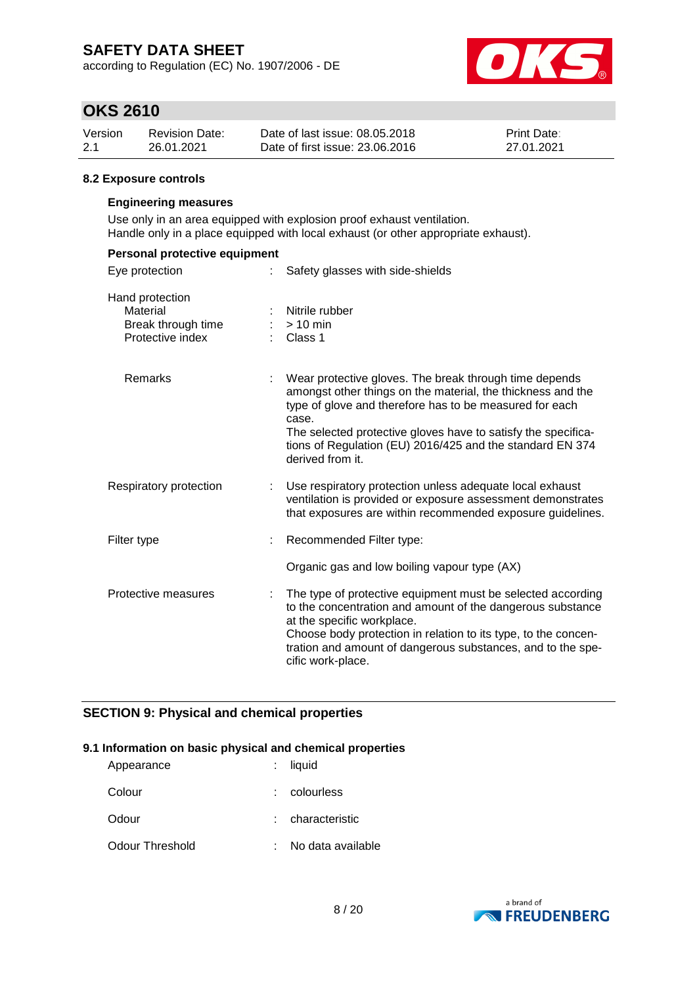according to Regulation (EC) No. 1907/2006 - DE



## **OKS 2610**

| Version | <b>Revision Date:</b> | Date of last issue: 08.05.2018  | <b>Print Date:</b> |
|---------|-----------------------|---------------------------------|--------------------|
| -2.1    | 26.01.2021            | Date of first issue: 23.06.2016 | 27.01.2021         |

#### **8.2 Exposure controls**

#### **Engineering measures**

Use only in an area equipped with explosion proof exhaust ventilation. Handle only in a place equipped with local exhaust (or other appropriate exhaust).

| Personal protective equipment                                         |    |                                                                                                                                                                                                                                                                                                                                             |  |  |  |
|-----------------------------------------------------------------------|----|---------------------------------------------------------------------------------------------------------------------------------------------------------------------------------------------------------------------------------------------------------------------------------------------------------------------------------------------|--|--|--|
| Eye protection                                                        |    | Safety glasses with side-shields                                                                                                                                                                                                                                                                                                            |  |  |  |
| Hand protection<br>Material<br>Break through time<br>Protective index |    | Nitrile rubber<br>$> 10$ min<br>Class 1                                                                                                                                                                                                                                                                                                     |  |  |  |
| Remarks                                                               |    | Wear protective gloves. The break through time depends<br>amongst other things on the material, the thickness and the<br>type of glove and therefore has to be measured for each<br>case.<br>The selected protective gloves have to satisfy the specifica-<br>tions of Regulation (EU) 2016/425 and the standard EN 374<br>derived from it. |  |  |  |
| Respiratory protection                                                | t. | Use respiratory protection unless adequate local exhaust<br>ventilation is provided or exposure assessment demonstrates<br>that exposures are within recommended exposure guidelines.                                                                                                                                                       |  |  |  |
| Filter type                                                           |    | Recommended Filter type:                                                                                                                                                                                                                                                                                                                    |  |  |  |
|                                                                       |    | Organic gas and low boiling vapour type (AX)                                                                                                                                                                                                                                                                                                |  |  |  |
| Protective measures                                                   |    | The type of protective equipment must be selected according<br>to the concentration and amount of the dangerous substance<br>at the specific workplace.<br>Choose body protection in relation to its type, to the concen-<br>tration and amount of dangerous substances, and to the spe-<br>cific work-place.                               |  |  |  |

## **SECTION 9: Physical and chemical properties**

#### **9.1 Information on basic physical and chemical properties**

| Appearance      | $:$ liquid        |
|-----------------|-------------------|
| Colour          | colourless        |
| Odour           | : characteristic  |
| Odour Threshold | No data available |

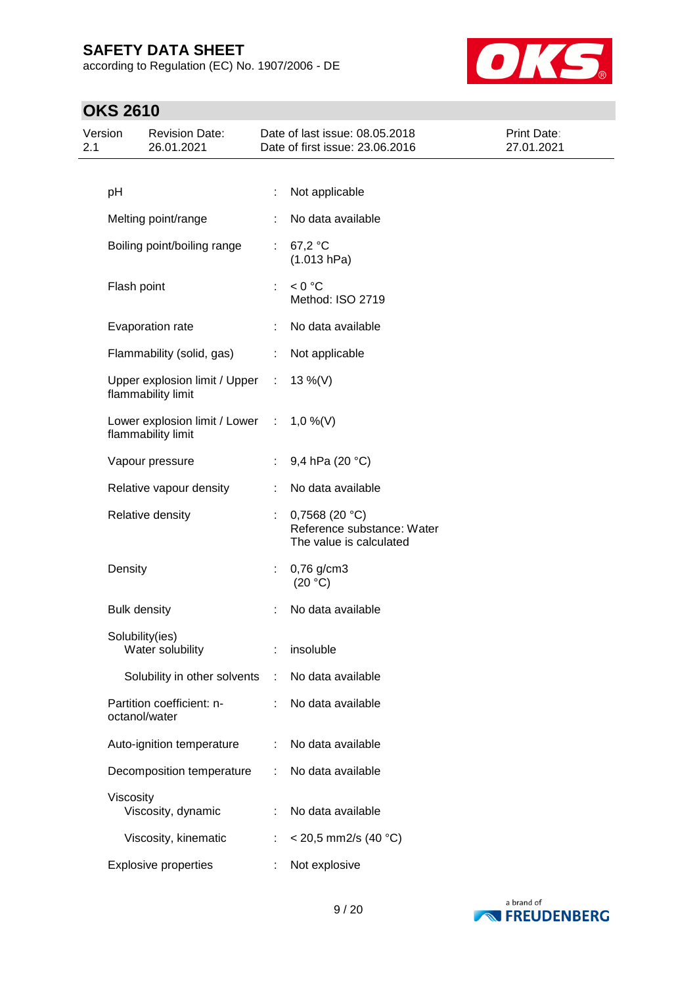according to Regulation (EC) No. 1907/2006 - DE



| Version<br>2.1 |                     | <b>Revision Date:</b><br>26.01.2021                   |                             | Date of last issue: 08.05.2018<br>Date of first issue: 23.06.2016          | Print Date:<br>27.01.2021 |
|----------------|---------------------|-------------------------------------------------------|-----------------------------|----------------------------------------------------------------------------|---------------------------|
|                |                     |                                                       |                             |                                                                            |                           |
|                | pH                  |                                                       | ÷                           | Not applicable                                                             |                           |
|                |                     | Melting point/range                                   |                             | No data available                                                          |                           |
|                |                     | Boiling point/boiling range                           | $\mathbb{R}^n$              | 67,2 °C<br>(1.013 hPa)                                                     |                           |
|                | Flash point         |                                                       |                             | < 0 °C<br>Method: ISO 2719                                                 |                           |
|                |                     | Evaporation rate                                      | ÷                           | No data available                                                          |                           |
|                |                     | Flammability (solid, gas)                             | ÷                           | Not applicable                                                             |                           |
|                |                     | Upper explosion limit / Upper<br>flammability limit   | $\mathcal{L}^{\mathcal{L}}$ | $13\%$ (V)                                                                 |                           |
|                |                     | Lower explosion limit / Lower :<br>flammability limit |                             | $1,0\%$ (V)                                                                |                           |
|                |                     | Vapour pressure                                       |                             | 9,4 hPa (20 °C)                                                            |                           |
|                |                     | Relative vapour density                               |                             | No data available                                                          |                           |
|                |                     | Relative density                                      | ÷                           | 0,7568 (20 $°C$ )<br>Reference substance: Water<br>The value is calculated |                           |
|                | Density             |                                                       | ÷.                          | 0,76 g/cm3<br>(20 °C)                                                      |                           |
|                | <b>Bulk density</b> |                                                       |                             | No data available                                                          |                           |
|                | Solubility(ies)     | Water solubility                                      |                             | : insoluble                                                                |                           |
|                |                     | Solubility in other solvents                          | ÷                           | No data available                                                          |                           |
|                | octanol/water       | Partition coefficient: n-                             | ÷                           | No data available                                                          |                           |
|                |                     | Auto-ignition temperature                             | ÷                           | No data available                                                          |                           |
|                |                     | Decomposition temperature                             | ÷                           | No data available                                                          |                           |
|                | Viscosity           | Viscosity, dynamic                                    |                             | No data available                                                          |                           |
|                |                     | Viscosity, kinematic                                  | ÷                           | $<$ 20,5 mm2/s (40 °C)                                                     |                           |
|                |                     | <b>Explosive properties</b>                           |                             | Not explosive                                                              |                           |

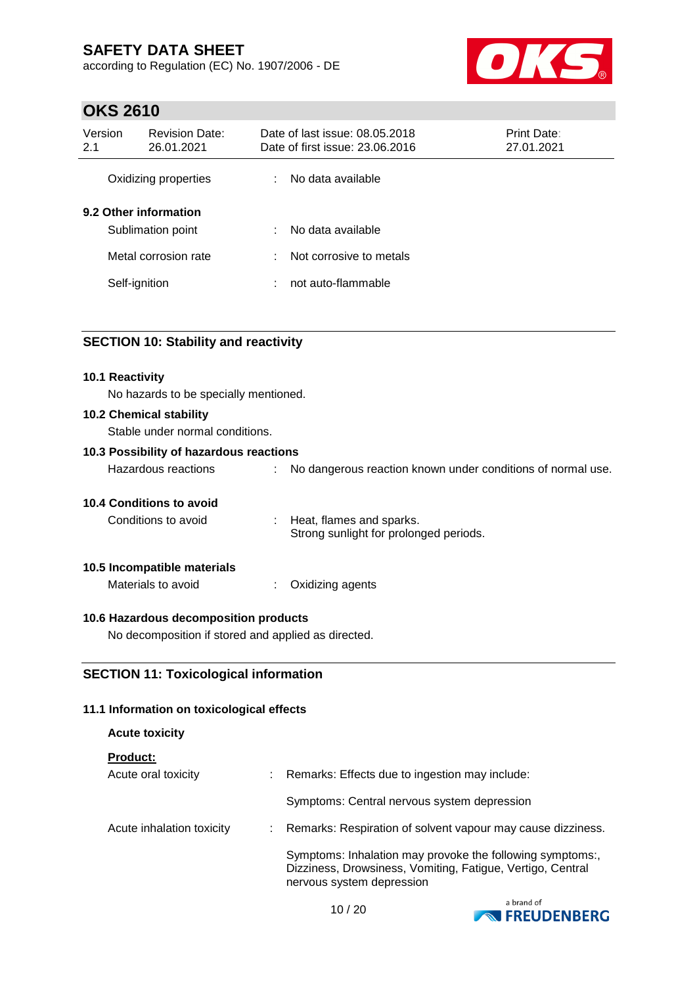according to Regulation (EC) No. 1907/2006 - DE



# **OKS 2610**

| Version<br>2.1        | <b>Revision Date:</b><br>26.01.2021 |   | Date of last issue: 08.05.2018<br>Date of first issue: 23.06.2016 | Print Date:<br>27.01.2021 |
|-----------------------|-------------------------------------|---|-------------------------------------------------------------------|---------------------------|
|                       | Oxidizing properties                | ÷ | No data available                                                 |                           |
| 9.2 Other information | Sublimation point                   | ÷ | No data available                                                 |                           |
|                       | Metal corrosion rate                | ÷ | Not corrosive to metals                                           |                           |
| Self-ignition         |                                     | ÷ | not auto-flammable                                                |                           |

## **SECTION 10: Stability and reactivity**

| <b>10.1 Reactivity</b><br>No hazards to be specially mentioned. |  |                                                                    |  |  |  |  |
|-----------------------------------------------------------------|--|--------------------------------------------------------------------|--|--|--|--|
| 10.2 Chemical stability<br>Stable under normal conditions.      |  |                                                                    |  |  |  |  |
| 10.3 Possibility of hazardous reactions                         |  |                                                                    |  |  |  |  |
| Hazardous reactions                                             |  | No dangerous reaction known under conditions of normal use.        |  |  |  |  |
| <b>10.4 Conditions to avoid</b>                                 |  |                                                                    |  |  |  |  |
| Conditions to avoid                                             |  | Heat, flames and sparks.<br>Strong sunlight for prolonged periods. |  |  |  |  |
| 10.5 Incompatible materials                                     |  |                                                                    |  |  |  |  |
| Materials to avoid                                              |  | Oxidizing agents                                                   |  |  |  |  |

## **10.6 Hazardous decomposition products**

No decomposition if stored and applied as directed.

## **SECTION 11: Toxicological information**

#### **11.1 Information on toxicological effects**

| <b>Acute toxicity</b>     |                           |                                                                                                                                                      |
|---------------------------|---------------------------|------------------------------------------------------------------------------------------------------------------------------------------------------|
| <b>Product:</b>           |                           |                                                                                                                                                      |
| Acute oral toxicity       |                           | : Remarks: Effects due to ingestion may include:                                                                                                     |
|                           |                           | Symptoms: Central nervous system depression                                                                                                          |
| Acute inhalation toxicity | $\mathbb{Z}^{\mathbb{Z}}$ | Remarks: Respiration of solvent vapour may cause dizziness.                                                                                          |
|                           |                           | Symptoms: Inhalation may provoke the following symptoms:,<br>Dizziness, Drowsiness, Vomiting, Fatigue, Vertigo, Central<br>nervous system depression |

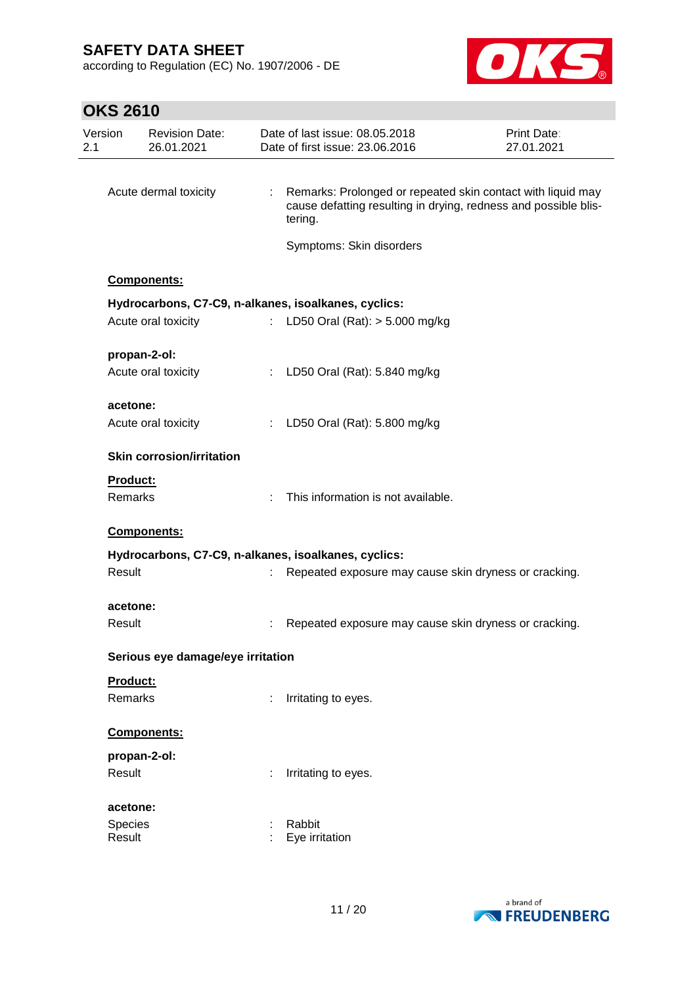according to Regulation (EC) No. 1907/2006 - DE



| Version<br>2.1 | <b>Revision Date:</b><br>26.01.2021                  |                              | Date of last issue: 08.05.2018<br>Date of first issue: 23.06.2016                                                                         | <b>Print Date:</b><br>27.01.2021 |
|----------------|------------------------------------------------------|------------------------------|-------------------------------------------------------------------------------------------------------------------------------------------|----------------------------------|
|                |                                                      |                              |                                                                                                                                           |                                  |
|                | Acute dermal toxicity                                | $\mathcal{L}_{\mathrm{max}}$ | Remarks: Prolonged or repeated skin contact with liquid may<br>cause defatting resulting in drying, redness and possible blis-<br>tering. |                                  |
|                |                                                      |                              | Symptoms: Skin disorders                                                                                                                  |                                  |
|                | Components:                                          |                              |                                                                                                                                           |                                  |
|                | Hydrocarbons, C7-C9, n-alkanes, isoalkanes, cyclics: |                              |                                                                                                                                           |                                  |
|                | Acute oral toxicity                                  | $\mathbb{Z}^{\times}$        | LD50 Oral (Rat): $> 5.000$ mg/kg                                                                                                          |                                  |
|                | propan-2-ol:                                         |                              |                                                                                                                                           |                                  |
|                | Acute oral toxicity                                  |                              | : LD50 Oral (Rat): 5.840 mg/kg                                                                                                            |                                  |
|                | acetone:                                             |                              |                                                                                                                                           |                                  |
|                | Acute oral toxicity                                  |                              | : LD50 Oral (Rat): 5.800 mg/kg                                                                                                            |                                  |
|                | <b>Skin corrosion/irritation</b>                     |                              |                                                                                                                                           |                                  |
|                | Product:                                             |                              |                                                                                                                                           |                                  |
|                | Remarks                                              | ÷.                           | This information is not available.                                                                                                        |                                  |
|                | Components:                                          |                              |                                                                                                                                           |                                  |
|                | Hydrocarbons, C7-C9, n-alkanes, isoalkanes, cyclics: |                              |                                                                                                                                           |                                  |
|                | Result                                               | t.                           | Repeated exposure may cause skin dryness or cracking.                                                                                     |                                  |
|                | acetone:                                             |                              |                                                                                                                                           |                                  |
|                | Result                                               |                              | Repeated exposure may cause skin dryness or cracking.                                                                                     |                                  |
|                | Serious eye damage/eye irritation                    |                              |                                                                                                                                           |                                  |
|                | Product:                                             |                              |                                                                                                                                           |                                  |
|                | Remarks                                              | ÷                            | Irritating to eyes.                                                                                                                       |                                  |
|                | Components:                                          |                              |                                                                                                                                           |                                  |
|                | propan-2-ol:                                         |                              |                                                                                                                                           |                                  |
|                | Result                                               |                              | Irritating to eyes.                                                                                                                       |                                  |
|                | acetone:                                             |                              |                                                                                                                                           |                                  |
|                | Species                                              |                              | Rabbit                                                                                                                                    |                                  |
|                | Result                                               |                              | Eye irritation                                                                                                                            |                                  |

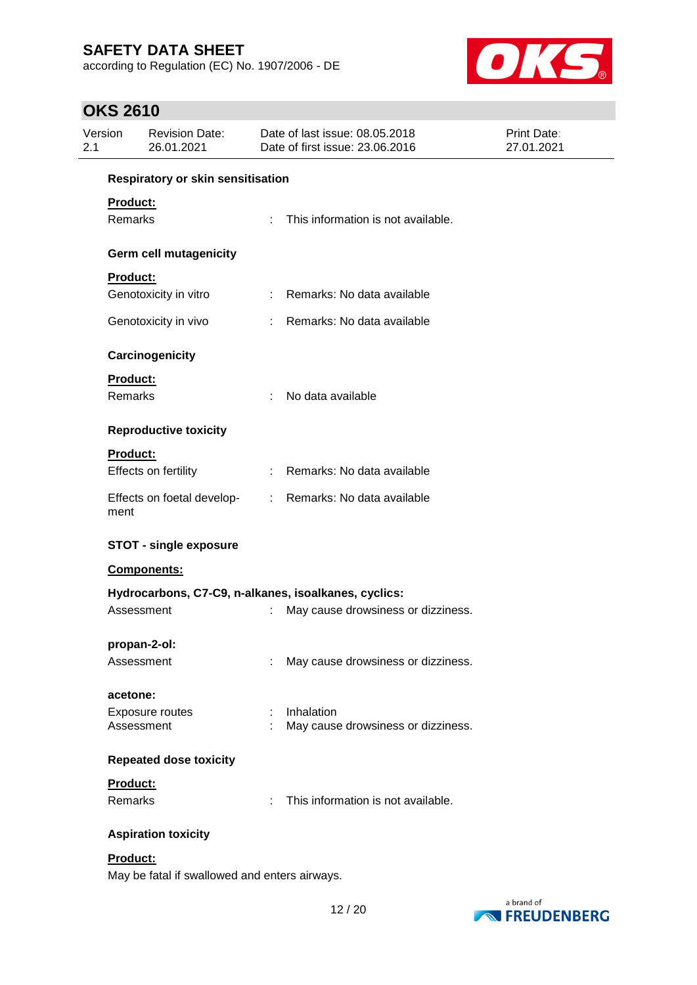according to Regulation (EC) No. 1907/2006 - DE



| Version<br>2.1      | <b>Revision Date:</b><br>26.01.2021           |                               | Date of last issue: 08.05.2018<br>Date of first issue: 23.06.2016 | Print Date:<br>27.01.2021 |  |  |  |  |
|---------------------|-----------------------------------------------|-------------------------------|-------------------------------------------------------------------|---------------------------|--|--|--|--|
|                     | Respiratory or skin sensitisation             |                               |                                                                   |                           |  |  |  |  |
| Product:<br>Remarks |                                               | ÷.                            | This information is not available.                                |                           |  |  |  |  |
|                     | Germ cell mutagenicity                        |                               |                                                                   |                           |  |  |  |  |
| Product:            |                                               |                               |                                                                   |                           |  |  |  |  |
|                     | Genotoxicity in vitro                         | ÷.                            | Remarks: No data available                                        |                           |  |  |  |  |
|                     | Genotoxicity in vivo                          | ÷                             | Remarks: No data available                                        |                           |  |  |  |  |
|                     | Carcinogenicity                               |                               |                                                                   |                           |  |  |  |  |
| Product:<br>Remarks |                                               |                               | No data available                                                 |                           |  |  |  |  |
|                     | <b>Reproductive toxicity</b>                  |                               |                                                                   |                           |  |  |  |  |
| Product:            |                                               |                               |                                                                   |                           |  |  |  |  |
|                     | Effects on fertility                          | $\mathbb{R}^n$                | Remarks: No data available                                        |                           |  |  |  |  |
| ment                | Effects on foetal develop-                    | $\mathcal{L}^{\mathcal{L}}$ . | Remarks: No data available                                        |                           |  |  |  |  |
|                     | <b>STOT - single exposure</b>                 |                               |                                                                   |                           |  |  |  |  |
|                     | Components:                                   |                               |                                                                   |                           |  |  |  |  |
|                     |                                               |                               | Hydrocarbons, C7-C9, n-alkanes, isoalkanes, cyclics:              |                           |  |  |  |  |
|                     | Assessment                                    | ÷                             | May cause drowsiness or dizziness.                                |                           |  |  |  |  |
|                     | propan-2-ol:                                  |                               |                                                                   |                           |  |  |  |  |
|                     | Assessment                                    | ÷                             | May cause drowsiness or dizziness.                                |                           |  |  |  |  |
| acetone:            |                                               |                               |                                                                   |                           |  |  |  |  |
|                     | <b>Exposure routes</b><br>Assessment          |                               | Inhalation<br>May cause drowsiness or dizziness.                  |                           |  |  |  |  |
|                     | <b>Repeated dose toxicity</b>                 |                               |                                                                   |                           |  |  |  |  |
| Product:            |                                               |                               |                                                                   |                           |  |  |  |  |
| Remarks             |                                               | t.                            | This information is not available.                                |                           |  |  |  |  |
|                     | <b>Aspiration toxicity</b>                    |                               |                                                                   |                           |  |  |  |  |
| Product:            | May be fatal if swallowed and enters airways. |                               |                                                                   |                           |  |  |  |  |

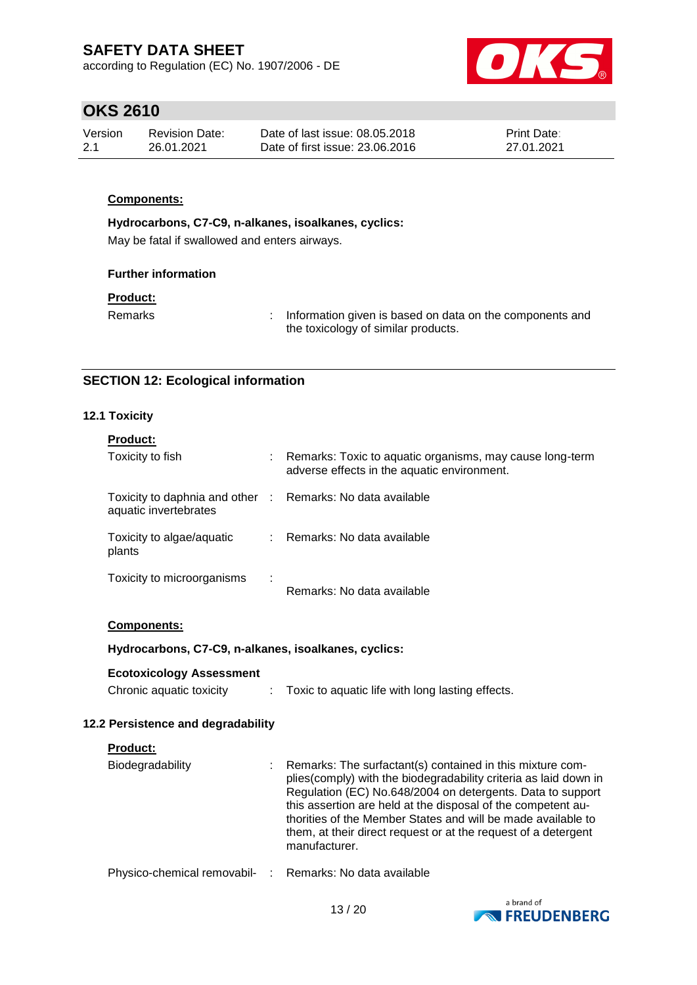according to Regulation (EC) No. 1907/2006 - DE



## **OKS 2610**

| Version | Revision Date: | Date of last issue: 08.05.2018  | <b>Print Date:</b> |
|---------|----------------|---------------------------------|--------------------|
| -2.1    | 26.01.2021     | Date of first issue: 23,06,2016 | 27.01.2021         |

### **Components:**

**Hydrocarbons, C7-C9, n-alkanes, isoalkanes, cyclics:**

May be fatal if swallowed and enters airways.

#### **Further information**

#### **Product:**

Remarks : Information given is based on data on the components and the toxicology of similar products.

## **SECTION 12: Ecological information**

### **12.1 Toxicity**

| <b>Product:</b>                                                                     |   |                                                                                                           |
|-------------------------------------------------------------------------------------|---|-----------------------------------------------------------------------------------------------------------|
| Toxicity to fish                                                                    |   | : Remarks: Toxic to aquatic organisms, may cause long-term<br>adverse effects in the aquatic environment. |
| Toxicity to daphnia and other : Remarks: No data available<br>aquatic invertebrates |   |                                                                                                           |
| Toxicity to algae/aquatic<br>plants                                                 |   | : Remarks: No data available                                                                              |
| Toxicity to microorganisms                                                          | ÷ | Remarks: No data available                                                                                |

### **Components:**

### **Hydrocarbons, C7-C9, n-alkanes, isoalkanes, cyclics:**

**Ecotoxicology Assessment**

| Chronic aquatic toxicity |  | Toxic to aquatic life with long lasting effects. |  |
|--------------------------|--|--------------------------------------------------|--|
|--------------------------|--|--------------------------------------------------|--|

### **12.2 Persistence and degradability**

| <b>Product:</b>                                          |                                                                                                                                                                                                                                                                                                                                                                                                                 |
|----------------------------------------------------------|-----------------------------------------------------------------------------------------------------------------------------------------------------------------------------------------------------------------------------------------------------------------------------------------------------------------------------------------------------------------------------------------------------------------|
| Biodegradability                                         | Remarks: The surfactant(s) contained in this mixture com-<br>plies (comply) with the biodegradability criteria as laid down in<br>Regulation (EC) No.648/2004 on detergents. Data to support<br>this assertion are held at the disposal of the competent au-<br>thorities of the Member States and will be made available to<br>them, at their direct request or at the request of a detergent<br>manufacturer. |
| Physico-chemical removabil- : Remarks: No data available |                                                                                                                                                                                                                                                                                                                                                                                                                 |

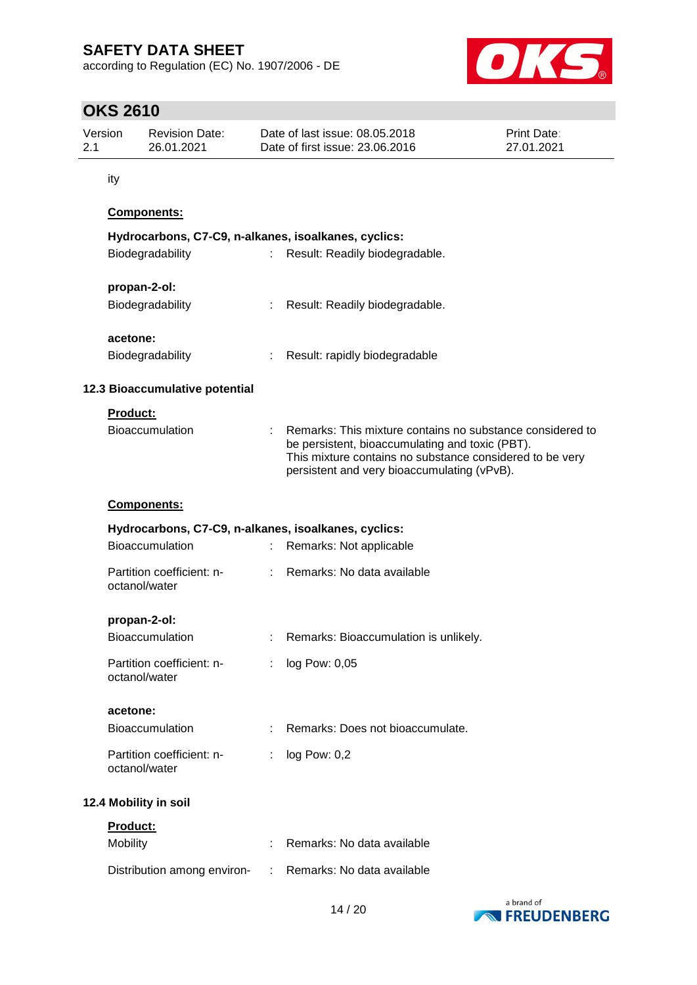according to Regulation (EC) No. 1907/2006 - DE



| Version<br>2.1 | <b>Revision Date:</b><br>26.01.2021 |                                            | Date of last issue: 08.05.2018<br><b>Print Date:</b><br>Date of first issue: 23.06.2016<br>27.01.2021 |                                                                                                                                                                                                                         |  |  |  |
|----------------|-------------------------------------|--------------------------------------------|-------------------------------------------------------------------------------------------------------|-------------------------------------------------------------------------------------------------------------------------------------------------------------------------------------------------------------------------|--|--|--|
|                | ity                                 |                                            |                                                                                                       |                                                                                                                                                                                                                         |  |  |  |
|                |                                     | Components:                                |                                                                                                       |                                                                                                                                                                                                                         |  |  |  |
|                |                                     |                                            |                                                                                                       | Hydrocarbons, C7-C9, n-alkanes, isoalkanes, cyclics:                                                                                                                                                                    |  |  |  |
|                |                                     | Biodegradability                           |                                                                                                       | Result: Readily biodegradable.                                                                                                                                                                                          |  |  |  |
|                |                                     | propan-2-ol:                               |                                                                                                       |                                                                                                                                                                                                                         |  |  |  |
|                |                                     | Biodegradability                           | ÷                                                                                                     | Result: Readily biodegradable.                                                                                                                                                                                          |  |  |  |
|                | acetone:                            |                                            |                                                                                                       |                                                                                                                                                                                                                         |  |  |  |
|                |                                     | Biodegradability                           | ÷.                                                                                                    | Result: rapidly biodegradable                                                                                                                                                                                           |  |  |  |
|                |                                     | 12.3 Bioaccumulative potential             |                                                                                                       |                                                                                                                                                                                                                         |  |  |  |
|                | Product:                            |                                            |                                                                                                       |                                                                                                                                                                                                                         |  |  |  |
|                |                                     | Bioaccumulation                            |                                                                                                       | Remarks: This mixture contains no substance considered to<br>be persistent, bioaccumulating and toxic (PBT).<br>This mixture contains no substance considered to be very<br>persistent and very bioaccumulating (vPvB). |  |  |  |
|                |                                     | Components:                                |                                                                                                       |                                                                                                                                                                                                                         |  |  |  |
|                |                                     |                                            |                                                                                                       | Hydrocarbons, C7-C9, n-alkanes, isoalkanes, cyclics:                                                                                                                                                                    |  |  |  |
|                |                                     | Bioaccumulation                            | ÷                                                                                                     | Remarks: Not applicable                                                                                                                                                                                                 |  |  |  |
|                |                                     | Partition coefficient: n-<br>octanol/water |                                                                                                       | Remarks: No data available                                                                                                                                                                                              |  |  |  |
|                |                                     | propan-2-ol:                               |                                                                                                       |                                                                                                                                                                                                                         |  |  |  |
|                |                                     | <b>Bioaccumulation</b>                     |                                                                                                       | Remarks: Bioaccumulation is unlikely.                                                                                                                                                                                   |  |  |  |
|                |                                     | Partition coefficient: n-<br>octanol/water | ÷                                                                                                     | log Pow: 0,05                                                                                                                                                                                                           |  |  |  |
|                | acetone:                            |                                            |                                                                                                       |                                                                                                                                                                                                                         |  |  |  |
|                |                                     | Bioaccumulation                            |                                                                                                       | Remarks: Does not bioaccumulate.                                                                                                                                                                                        |  |  |  |
|                |                                     | Partition coefficient: n-<br>octanol/water | ÷                                                                                                     | log Pow: 0,2                                                                                                                                                                                                            |  |  |  |
|                |                                     | 12.4 Mobility in soil                      |                                                                                                       |                                                                                                                                                                                                                         |  |  |  |
|                | <b>Product:</b>                     |                                            |                                                                                                       |                                                                                                                                                                                                                         |  |  |  |
|                | Mobility                            |                                            |                                                                                                       | Remarks: No data available                                                                                                                                                                                              |  |  |  |
|                |                                     | Distribution among environ-                |                                                                                                       | Remarks: No data available                                                                                                                                                                                              |  |  |  |

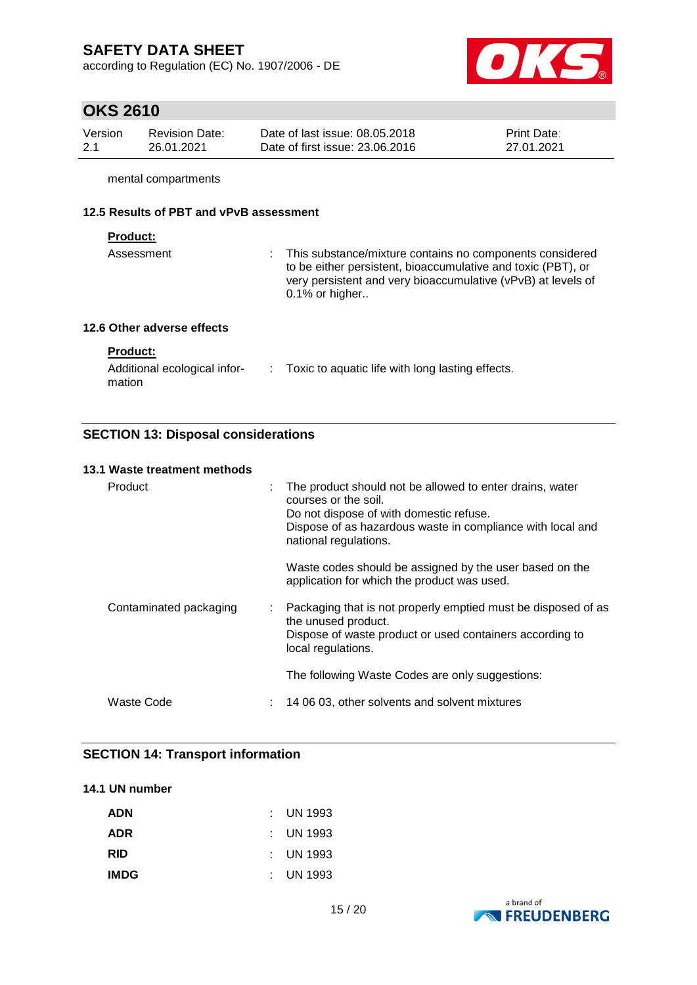according to Regulation (EC) No. 1907/2006 - DE



# **OKS 2610**

| Version | <b>Revision Date:</b> | Date of last issue: 08.05.2018  | <b>Print Date:</b> |
|---------|-----------------------|---------------------------------|--------------------|
| 2.1     | 26.01.2021            | Date of first issue: 23,06,2016 | 27.01.2021         |

mental compartments

## **12.5 Results of PBT and vPvB assessment**

#### **Product:**

| Assessment |  | : This substance/mixture contains no components considered                                                                   |
|------------|--|------------------------------------------------------------------------------------------------------------------------------|
|            |  | to be either persistent, bioaccumulative and toxic (PBT), or<br>very persistent and very bioaccumulative (vPvB) at levels of |
|            |  | $0.1\%$ or higher                                                                                                            |
|            |  |                                                                                                                              |

## **12.6 Other adverse effects**

## **Product:**

| Additional ecological infor- | Toxic to aquatic life with long lasting effects. |
|------------------------------|--------------------------------------------------|
| mation                       |                                                  |

## **SECTION 13: Disposal considerations**

#### **13.1 Waste treatment methods**

| Product                | The product should not be allowed to enter drains, water<br>courses or the soil.<br>Do not dispose of with domestic refuse.<br>Dispose of as hazardous waste in compliance with local and<br>national regulations. |
|------------------------|--------------------------------------------------------------------------------------------------------------------------------------------------------------------------------------------------------------------|
|                        | Waste codes should be assigned by the user based on the<br>application for which the product was used.                                                                                                             |
| Contaminated packaging | : Packaging that is not properly emptied must be disposed of as<br>the unused product.<br>Dispose of waste product or used containers according to<br>local regulations.                                           |
|                        | The following Waste Codes are only suggestions:                                                                                                                                                                    |
| Waste Code             | 14 06 03, other solvents and solvent mixtures                                                                                                                                                                      |

## **SECTION 14: Transport information**

### **14.1 UN number**

| <b>ADN</b>  | $\pm$ UN 1993        |
|-------------|----------------------|
| <b>ADR</b>  | $\pm$ UN 1993        |
| <b>RID</b>  | $\pm$ UN 1993        |
| <b>IMDG</b> | $\therefore$ UN 1993 |

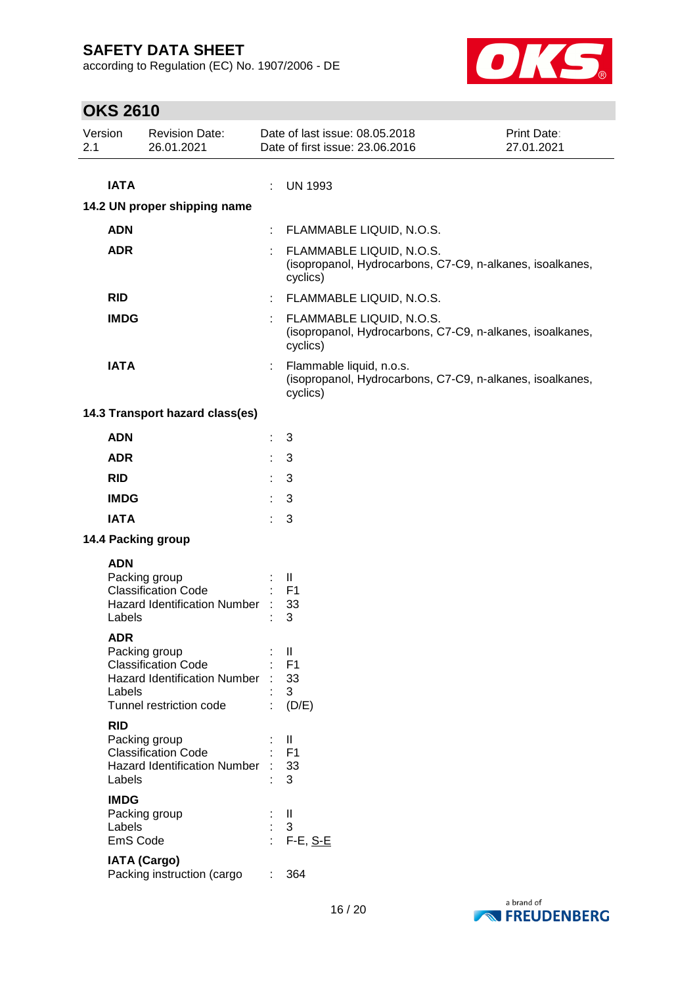according to Regulation (EC) No. 1907/2006 - DE



| Version<br>2.1        | <b>Revision Date:</b><br>26.01.2021                                                                           |    | Date of last issue: 08.05.2018<br>Date of first issue: 23.06.2016                                 | Print Date:<br>27.01.2021 |
|-----------------------|---------------------------------------------------------------------------------------------------------------|----|---------------------------------------------------------------------------------------------------|---------------------------|
| <b>IATA</b>           |                                                                                                               | ÷  | <b>UN 1993</b>                                                                                    |                           |
|                       | 14.2 UN proper shipping name                                                                                  |    |                                                                                                   |                           |
| <b>ADN</b>            |                                                                                                               |    | FLAMMABLE LIQUID, N.O.S.                                                                          |                           |
| <b>ADR</b>            |                                                                                                               |    | FLAMMABLE LIQUID, N.O.S.<br>(isopropanol, Hydrocarbons, C7-C9, n-alkanes, isoalkanes,<br>cyclics) |                           |
| <b>RID</b>            |                                                                                                               | t, | FLAMMABLE LIQUID, N.O.S.                                                                          |                           |
| <b>IMDG</b>           |                                                                                                               |    | FLAMMABLE LIQUID, N.O.S.<br>(isopropanol, Hydrocarbons, C7-C9, n-alkanes, isoalkanes,<br>cyclics) |                           |
| <b>IATA</b>           |                                                                                                               |    | Flammable liquid, n.o.s.<br>(isopropanol, Hydrocarbons, C7-C9, n-alkanes, isoalkanes,<br>cyclics) |                           |
|                       | 14.3 Transport hazard class(es)                                                                               |    |                                                                                                   |                           |
| <b>ADN</b>            |                                                                                                               | ÷  | 3                                                                                                 |                           |
| <b>ADR</b>            |                                                                                                               |    | 3                                                                                                 |                           |
| <b>RID</b>            |                                                                                                               |    | 3                                                                                                 |                           |
| <b>IMDG</b>           |                                                                                                               |    | 3                                                                                                 |                           |
| <b>IATA</b>           |                                                                                                               | ÷  | 3                                                                                                 |                           |
|                       | 14.4 Packing group                                                                                            |    |                                                                                                   |                           |
| <b>ADN</b><br>Labels  | Packing group<br><b>Classification Code</b><br>Hazard Identification Number :                                 |    | Ш<br>F <sub>1</sub><br>33<br>3                                                                    |                           |
| <b>ADR</b><br>Labels  | Packing group<br><b>Classification Code</b><br><b>Hazard Identification Number</b><br>Tunnel restriction code |    | $\mathbf{H}$<br>F <sub>1</sub><br>33<br>3<br>(D/E)                                                |                           |
| <b>RID</b><br>Labels  | Packing group<br><b>Classification Code</b><br><b>Hazard Identification Number</b>                            |    | Ш<br>F1<br>33<br>3                                                                                |                           |
| <b>IMDG</b><br>Labels | Packing group<br>EmS Code                                                                                     |    | Ш<br>3<br>$F-E$ , $S-E$                                                                           |                           |
|                       | <b>IATA (Cargo)</b><br>Packing instruction (cargo                                                             |    | 364                                                                                               |                           |

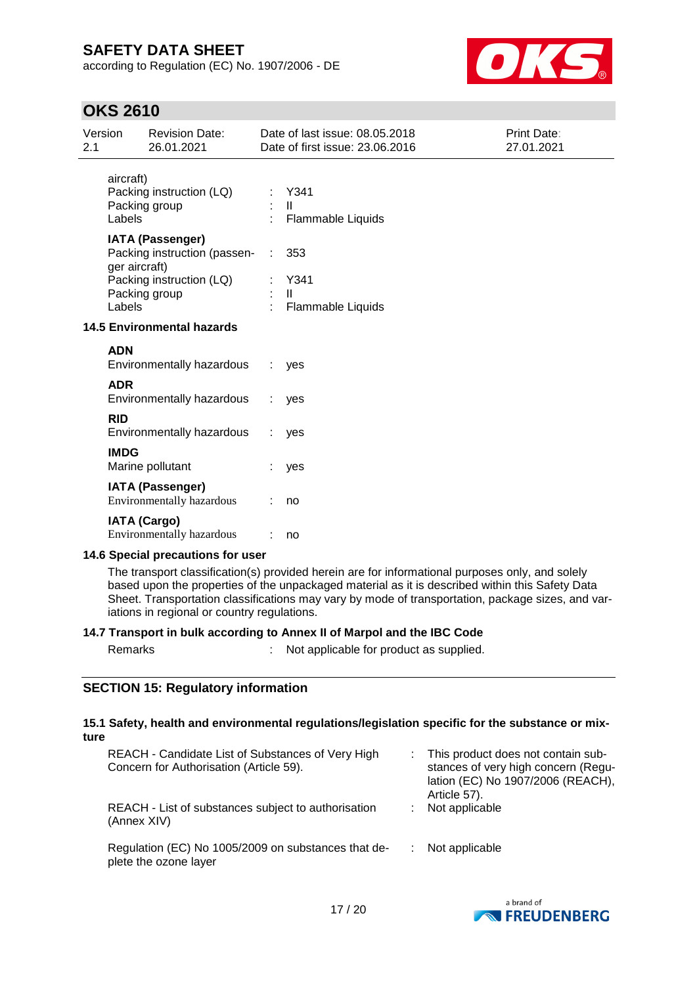according to Regulation (EC) No. 1907/2006 - DE



## **OKS 2610**

| Version<br>2.1 |                     | <b>Revision Date:</b><br>26.01.2021                         |   | Date of last issue: 08.05.2018<br>Date of first issue: 23.06.2016 | Print Date:<br>27.01.2021 |
|----------------|---------------------|-------------------------------------------------------------|---|-------------------------------------------------------------------|---------------------------|
|                | aircraft)<br>Labels | Packing instruction (LQ)<br>Packing group                   |   | Y341<br>$\mathbf{I}$<br><b>Flammable Liquids</b>                  |                           |
|                | ger aircraft)       | <b>IATA (Passenger)</b><br>Packing instruction (passen-     | ÷ | 353                                                               |                           |
|                | Labels              | Packing instruction (LQ)<br>Packing group                   |   | Y341<br>$\mathbf{II}$<br>Flammable Liquids                        |                           |
|                |                     | <b>14.5 Environmental hazards</b>                           |   |                                                                   |                           |
|                | <b>ADN</b>          | Environmentally hazardous                                   |   | yes                                                               |                           |
|                | <b>ADR</b>          | Environmentally hazardous                                   |   | yes                                                               |                           |
|                | <b>RID</b>          | Environmentally hazardous                                   |   | yes                                                               |                           |
|                | <b>IMDG</b>         | Marine pollutant                                            |   | yes                                                               |                           |
|                |                     | <b>IATA (Passenger)</b><br><b>Environmentally hazardous</b> |   | no                                                                |                           |
|                | <b>IATA (Cargo)</b> | Environmentally hazardous                                   |   | no                                                                |                           |
|                |                     | 14.6 Special precautions for user                           |   |                                                                   |                           |

The transport classification(s) provided herein are for informational purposes only, and solely based upon the properties of the unpackaged material as it is described within this Safety Data Sheet. Transportation classifications may vary by mode of transportation, package sizes, and variations in regional or country regulations.

### **14.7 Transport in bulk according to Annex II of Marpol and the IBC Code**

Remarks : Not applicable for product as supplied.

### **SECTION 15: Regulatory information**

#### **15.1 Safety, health and environmental regulations/legislation specific for the substance or mixture**

| REACH - Candidate List of Substances of Very High<br>Concern for Authorisation (Article 59). | This product does not contain sub-<br>stances of very high concern (Regu-<br>lation (EC) No 1907/2006 (REACH),<br>Article 57). |
|----------------------------------------------------------------------------------------------|--------------------------------------------------------------------------------------------------------------------------------|
| REACH - List of substances subject to authorisation<br>(Annex XIV)                           | Not applicable                                                                                                                 |
| Regulation (EC) No 1005/2009 on substances that de-<br>plete the ozone layer                 | Not applicable                                                                                                                 |

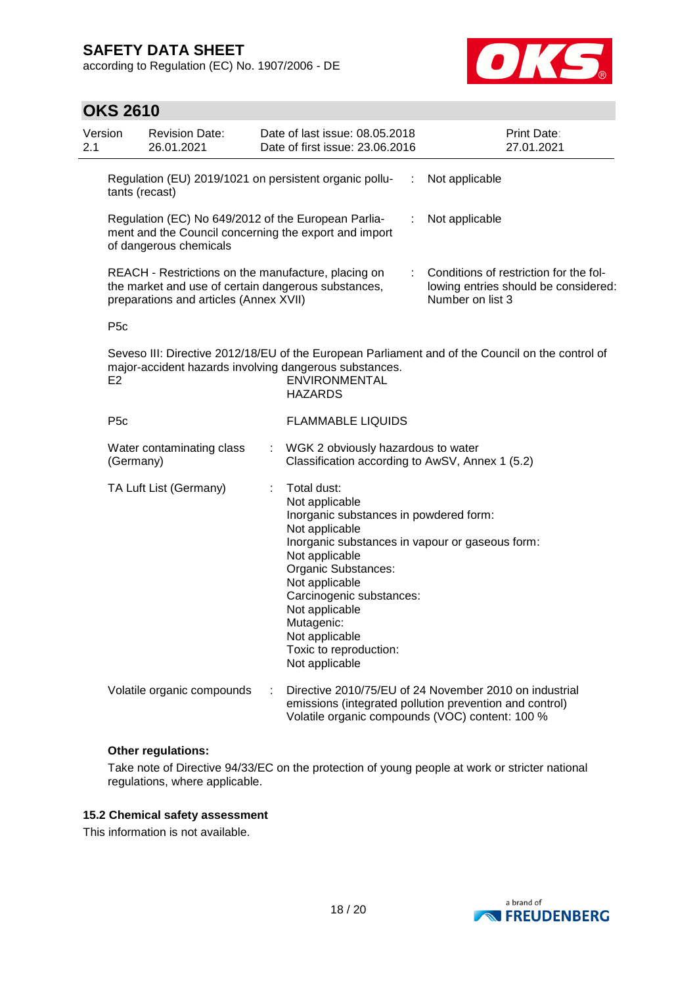**OKS 2610**

according to Regulation (EC) No. 1907/2006 - DE



| Version<br>2.1 |                  | <b>Revision Date:</b><br>26.01.2021                                                                                                                  |   | Date of last issue: 08.05.2018<br>Date of first issue: 23,06,2016                                                                                                                                                                                                              |   | Print Date:<br>27.01.2021                                                                                                                                            |
|----------------|------------------|------------------------------------------------------------------------------------------------------------------------------------------------------|---|--------------------------------------------------------------------------------------------------------------------------------------------------------------------------------------------------------------------------------------------------------------------------------|---|----------------------------------------------------------------------------------------------------------------------------------------------------------------------|
|                | tants (recast)   |                                                                                                                                                      |   | Regulation (EU) 2019/1021 on persistent organic pollu-                                                                                                                                                                                                                         | ÷ | Not applicable                                                                                                                                                       |
|                |                  | Regulation (EC) No 649/2012 of the European Parlia-<br>of dangerous chemicals                                                                        |   | ment and the Council concerning the export and import                                                                                                                                                                                                                          | ÷ | Not applicable                                                                                                                                                       |
|                |                  | REACH - Restrictions on the manufacture, placing on<br>the market and use of certain dangerous substances,<br>preparations and articles (Annex XVII) |   |                                                                                                                                                                                                                                                                                | ÷ | Conditions of restriction for the fol-<br>lowing entries should be considered:<br>Number on list 3                                                                   |
|                | P <sub>5</sub> c |                                                                                                                                                      |   |                                                                                                                                                                                                                                                                                |   |                                                                                                                                                                      |
|                | E2               |                                                                                                                                                      |   | major-accident hazards involving dangerous substances.<br>ENVIRONMENTAL<br><b>HAZARDS</b>                                                                                                                                                                                      |   | Seveso III: Directive 2012/18/EU of the European Parliament and of the Council on the control of                                                                     |
|                | P <sub>5</sub> c |                                                                                                                                                      |   | <b>FLAMMABLE LIQUIDS</b>                                                                                                                                                                                                                                                       |   |                                                                                                                                                                      |
|                | (Germany)        | Water contaminating class                                                                                                                            |   | WGK 2 obviously hazardous to water<br>Classification according to AwSV, Annex 1 (5.2)                                                                                                                                                                                          |   |                                                                                                                                                                      |
|                |                  | TA Luft List (Germany)                                                                                                                               |   | Total dust:<br>Not applicable<br>Inorganic substances in powdered form:<br>Not applicable<br>Not applicable<br>Organic Substances:<br>Not applicable<br>Carcinogenic substances:<br>Not applicable<br>Mutagenic:<br>Not applicable<br>Toxic to reproduction:<br>Not applicable |   | Inorganic substances in vapour or gaseous form:                                                                                                                      |
|                |                  | Volatile organic compounds                                                                                                                           | ÷ |                                                                                                                                                                                                                                                                                |   | Directive 2010/75/EU of 24 November 2010 on industrial<br>emissions (integrated pollution prevention and control)<br>Volatile organic compounds (VOC) content: 100 % |

### **Other regulations:**

Take note of Directive 94/33/EC on the protection of young people at work or stricter national regulations, where applicable.

### **15.2 Chemical safety assessment**

This information is not available.

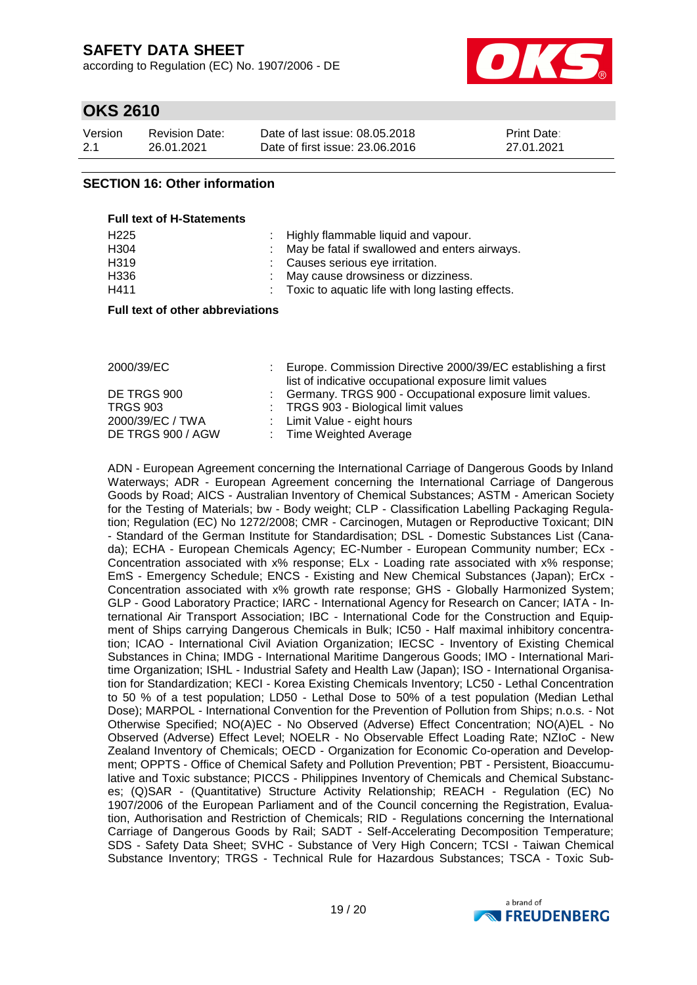according to Regulation (EC) No. 1907/2006 - DE



## **OKS 2610**

| Version | <b>Revision Date:</b> | Date of last issue: 08.05.2018  | <b>Print Date:</b> |
|---------|-----------------------|---------------------------------|--------------------|
| 2.1     | 26.01.2021            | Date of first issue: 23,06,2016 | 27.01.2021         |

## **SECTION 16: Other information**

| <b>Full text of H-Statements</b> |                                                    |
|----------------------------------|----------------------------------------------------|
| H <sub>225</sub>                 | : Highly flammable liquid and vapour.              |
| H304                             | : May be fatal if swallowed and enters airways.    |
| H <sub>3</sub> 19                | : Causes serious eye irritation.                   |
| H336                             | : May cause drowsiness or dizziness.               |
| H411                             | : Toxic to aquatic life with long lasting effects. |

#### **Full text of other abbreviations**

| 2000/39/EC        | Europe. Commission Directive 2000/39/EC establishing a first<br>list of indicative occupational exposure limit values |
|-------------------|-----------------------------------------------------------------------------------------------------------------------|
| DE TRGS 900       | : Germany. TRGS 900 - Occupational exposure limit values.                                                             |
| <b>TRGS 903</b>   | : TRGS 903 - Biological limit values                                                                                  |
| 2000/39/EC / TWA  | : Limit Value - eight hours                                                                                           |
| DE TRGS 900 / AGW | : Time Weighted Average                                                                                               |

ADN - European Agreement concerning the International Carriage of Dangerous Goods by Inland Waterways; ADR - European Agreement concerning the International Carriage of Dangerous Goods by Road; AICS - Australian Inventory of Chemical Substances; ASTM - American Society for the Testing of Materials; bw - Body weight; CLP - Classification Labelling Packaging Regulation; Regulation (EC) No 1272/2008; CMR - Carcinogen, Mutagen or Reproductive Toxicant; DIN - Standard of the German Institute for Standardisation; DSL - Domestic Substances List (Canada); ECHA - European Chemicals Agency; EC-Number - European Community number; ECx - Concentration associated with x% response; ELx - Loading rate associated with x% response; EmS - Emergency Schedule; ENCS - Existing and New Chemical Substances (Japan); ErCx - Concentration associated with x% growth rate response; GHS - Globally Harmonized System; GLP - Good Laboratory Practice; IARC - International Agency for Research on Cancer; IATA - International Air Transport Association; IBC - International Code for the Construction and Equipment of Ships carrying Dangerous Chemicals in Bulk; IC50 - Half maximal inhibitory concentration; ICAO - International Civil Aviation Organization; IECSC - Inventory of Existing Chemical Substances in China; IMDG - International Maritime Dangerous Goods; IMO - International Maritime Organization; ISHL - Industrial Safety and Health Law (Japan); ISO - International Organisation for Standardization; KECI - Korea Existing Chemicals Inventory; LC50 - Lethal Concentration to 50 % of a test population; LD50 - Lethal Dose to 50% of a test population (Median Lethal Dose); MARPOL - International Convention for the Prevention of Pollution from Ships; n.o.s. - Not Otherwise Specified; NO(A)EC - No Observed (Adverse) Effect Concentration; NO(A)EL - No Observed (Adverse) Effect Level; NOELR - No Observable Effect Loading Rate; NZIoC - New Zealand Inventory of Chemicals; OECD - Organization for Economic Co-operation and Development; OPPTS - Office of Chemical Safety and Pollution Prevention; PBT - Persistent, Bioaccumulative and Toxic substance; PICCS - Philippines Inventory of Chemicals and Chemical Substances; (Q)SAR - (Quantitative) Structure Activity Relationship; REACH - Regulation (EC) No 1907/2006 of the European Parliament and of the Council concerning the Registration, Evaluation, Authorisation and Restriction of Chemicals; RID - Regulations concerning the International Carriage of Dangerous Goods by Rail; SADT - Self-Accelerating Decomposition Temperature; SDS - Safety Data Sheet; SVHC - Substance of Very High Concern; TCSI - Taiwan Chemical Substance Inventory; TRGS - Technical Rule for Hazardous Substances; TSCA - Toxic Sub-